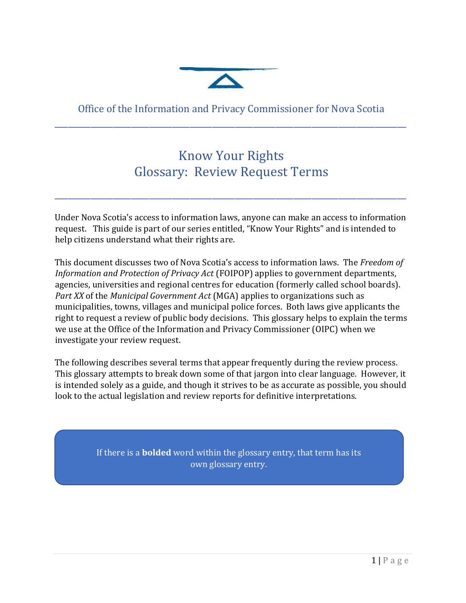

## Office of the Information and Privacy Commissioner for Nova Scotia \_\_\_\_\_\_\_\_\_\_\_\_\_\_\_\_\_\_\_\_\_\_\_\_\_\_\_\_\_\_\_\_\_\_\_\_\_\_\_\_\_\_\_\_\_\_\_\_\_\_\_\_\_\_\_\_\_\_\_\_\_\_\_\_\_\_\_\_\_\_\_\_\_\_\_\_\_\_

## Know Your Rights Glossary: Review Request Terms

\_\_\_\_\_\_\_\_\_\_\_\_\_\_\_\_\_\_\_\_\_\_\_\_\_\_\_\_\_\_\_\_\_\_\_\_\_\_\_\_\_\_\_\_\_\_\_\_\_\_\_\_\_\_\_\_\_\_\_\_\_\_\_\_\_\_\_\_\_\_\_\_\_\_\_\_\_\_

Under Nova Scotia's access to information laws, anyone can make an access to information request. This guide is part of our series entitled, "Know Your Rights" and is intended to help citizens understand what their rights are.

This document discusses two of Nova Scotia's access to information laws. The *Freedom of Information and Protection of Privacy Act* (FOIPOP) applies to government departments, agencies, universities and regional centres for education (formerly called school boards). *Part XX* of the *Municipal Government Act* (MGA) applies to organizations such as municipalities, towns, villages and municipal police forces. Both laws give applicants the right to request a review of public body decisions. This glossary helps to explain the terms we use at the Office of the Information and Privacy Commissioner (OIPC) when we investigate your review request.

The following describes several terms that appear frequently during the review process. This glossary attempts to break down some of that jargon into clear language. However, it is intended solely as a guide, and though it strives to be as accurate as possible, you should look to the actual legislation and review reports for definitive interpretations.

> If there is a **bolded** word within the glossary entry, that term has its own glossary entry.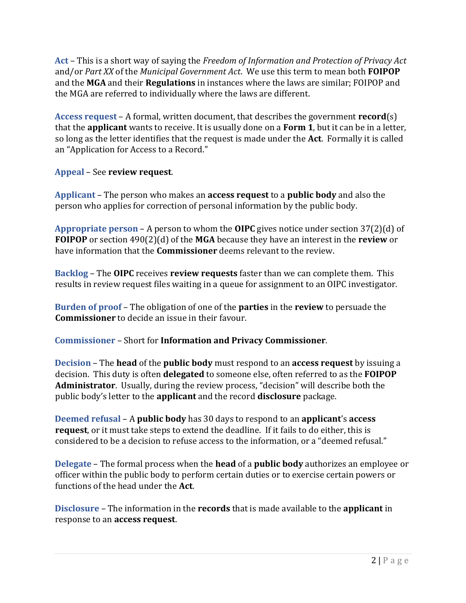**Act** – This is a short way of saying the *Freedom of Information and Protection of Privacy Act* and/or *Part XX* of the *Municipal Government Act*. We use this term to mean both **FOIPOP** and the **MGA** and their **Regulations** in instances where the laws are similar; FOIPOP and the MGA are referred to individually where the laws are different.

**Access request** – A formal, written document, that describes the government **record**(s) that the **applicant** wants to receive. It is usually done on a **Form 1**, but it can be in a letter, so long as the letter identifies that the request is made under the **Act**. Formally it is called an "Application for Access to a Record."

## **Appeal** – See **review request**.

**Applicant** – The person who makes an **access request** to a **public body** and also the person who applies for correction of personal information by the public body.

**Appropriate person** – A person to whom the **OIPC** gives notice under section 37(2)(d) of **FOIPOP** or section 490(2)(d) of the **MGA** because they have an interest in the **review** or have information that the **Commissioner** deems relevant to the review.

**Backlog** – The **OIPC** receives **review requests** faster than we can complete them. This results in review request files waiting in a queue for assignment to an OIPC investigator.

**Burden of proof** – The obligation of one of the **parties** in the **review** to persuade the **Commissioner** to decide an issue in their favour.

**Commissioner** – Short for **Information and Privacy Commissioner**.

**Decision** – The **head** of the **public body** must respond to an **access request** by issuing a decision. This duty is often **delegated** to someone else, often referred to as the **FOIPOP Administrator**. Usually, during the review process, "decision" will describe both the public body's letter to the **applicant** and the record **disclosure** package.

**Deemed refusal** – A **public body** has 30 days to respond to an **applicant**'s **access request**, or it must take steps to extend the deadline. If it fails to do either, this is considered to be a decision to refuse access to the information, or a "deemed refusal."

**Delegate** – The formal process when the **head** of a **public body** authorizes an employee or officer within the public body to perform certain duties or to exercise certain powers or functions of the head under the **Act**.

**Disclosure** – The information in the **records** that is made available to the **applicant** in response to an **access request**.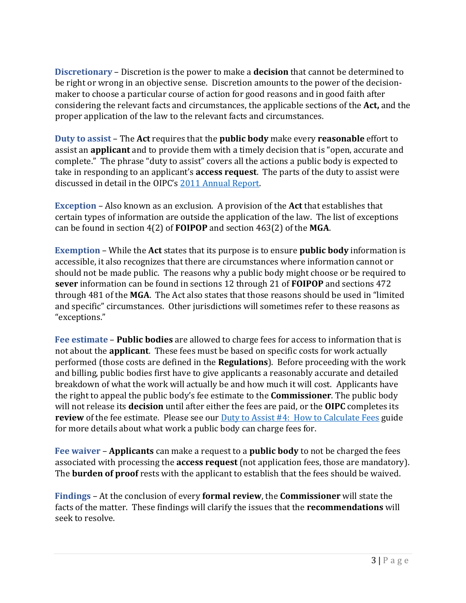**Discretionary** – Discretion is the power to make a **decision** that cannot be determined to be right or wrong in an objective sense. Discretion amounts to the power of the decisionmaker to choose a particular course of action for good reasons and in good faith after considering the relevant facts and circumstances, the applicable sections of the **Act,** and the proper application of the law to the relevant facts and circumstances.

**Duty to assist** – The **Act** requires that the **public body** make every **reasonable** effort to assist an **applicant** and to provide them with a timely decision that is "open, accurate and complete." The phrase "duty to assist" covers all the actions a public body is expected to take in responding to an applicant's **access request**. The parts of the duty to assist were discussed in detail in the OIPC's [2011 Annual Report.](https://oipc.novascotia.ca/sites/default/files/publications/annual-reports/2011%20Annual%20Report%20%20ENG%20wc.pdf)

**Exception** – Also known as an exclusion. A provision of the **Act** that establishes that certain types of information are outside the application of the law. The list of exceptions can be found in section 4(2) of **FOIPOP** and section 463(2) of the **MGA**.

**Exemption** – While the **Act** states that its purpose is to ensure **public body** information is accessible, it also recognizes that there are circumstances where information cannot or should not be made public. The reasons why a public body might choose or be required to **sever** information can be found in sections 12 through 21 of **FOIPOP** and sections 472 through 481 of the **MGA**. The Act also states that those reasons should be used in "limited and specific" circumstances. Other jurisdictions will sometimes refer to these reasons as "exceptions."

**Fee estimate** – **Public bodies** are allowed to charge fees for access to information that is not about the **applicant**. These fees must be based on specific costs for work actually performed (those costs are defined in the **Regulations**). Before proceeding with the work and billing, public bodies first have to give applicants a reasonably accurate and detailed breakdown of what the work will actually be and how much it will cost. Applicants have the right to appeal the public body's fee estimate to the **Commissioner**. The public body will not release its **decision** until after either the fees are paid, or the **OIPC** completes its **review** of the fee estimate. Please see our **Duty to Assist #4: [How to Calculate Fees](https://oipc.novascotia.ca/sites/default/files/publications/19-00109%20Fees%20Guidelines%20%282019%20July%2025%29.pdf)** guide for more details about what work a public body can charge fees for.

**Fee waiver** – **Applicants** can make a request to a **public body** to not be charged the fees associated with processing the **access request** (not application fees, those are mandatory). The **burden of proof** rests with the applicant to establish that the fees should be waived.

**Findings** – At the conclusion of every **formal review**, the **Commissioner** will state the facts of the matter. These findings will clarify the issues that the **recommendations** will seek to resolve.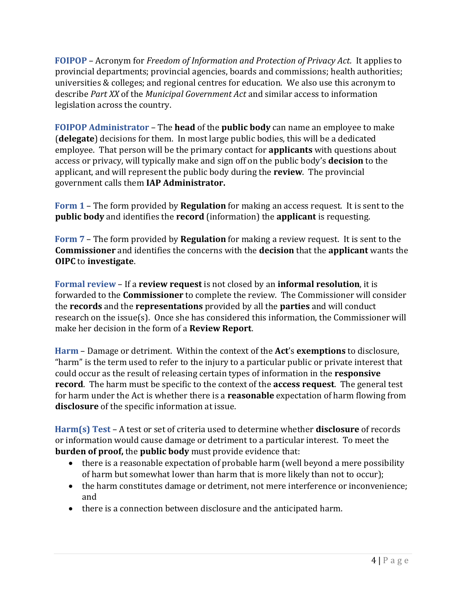**FOIPOP** – Acronym for *Freedom of Information and Protection of Privacy Act.* It applies to provincial departments; provincial agencies, boards and commissions; health authorities; universities & colleges; and regional centres for education. We also use this acronym to describe *Part XX* of the *Municipal Government Act* and similar access to information legislation across the country.

**FOIPOP Administrator** – The **head** of the **public body** can name an employee to make (**delegate**) decisions for them. In most large public bodies, this will be a dedicated employee. That person will be the primary contact for **applicants** with questions about access or privacy, will typically make and sign off on the public body's **decision** to the applicant, and will represent the public body during the **review**. The provincial government calls them **IAP Administrator.** 

**Form 1** – The form provided by **Regulation** for making an access request. It is sent to the **public body** and identifies the **record** (information) the **applicant** is requesting.

**Form 7** – The form provided by **Regulation** for making a review request. It is sent to the **Commissioner** and identifies the concerns with the **decision** that the **applicant** wants the **OIPC** to **investigate**.

**Formal review** – If a **review request** is not closed by an **informal resolution**, it is forwarded to the **Commissioner** to complete the review. The Commissioner will consider the **records** and the **representations** provided by all the **parties** and will conduct research on the issue(s). Once she has considered this information, the Commissioner will make her decision in the form of a **Review Report**.

**Harm** – Damage or detriment. Within the context of the **Act**'s **exemptions** to disclosure, "harm" is the term used to refer to the injury to a particular public or private interest that could occur as the result of releasing certain types of information in the **responsive record**. The harm must be specific to the context of the **access request**. The general test for harm under the Act is whether there is a **reasonable** expectation of harm flowing from **disclosure** of the specific information at issue.

**Harm(s) Test** – A test or set of criteria used to determine whether **disclosure** of records or information would cause damage or detriment to a particular interest. To meet the **burden of proof,** the **public body** must provide evidence that:

- there is a reasonable expectation of probable harm (well beyond a mere possibility of harm but somewhat lower than harm that is more likely than not to occur);
- the harm constitutes damage or detriment, not mere interference or inconvenience; and
- there is a connection between disclosure and the anticipated harm.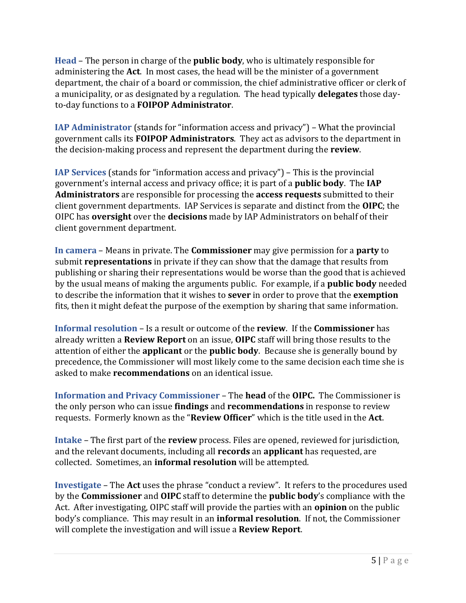**Head** – The person in charge of the **public body**, who is ultimately responsible for administering the **Act**. In most cases, the head will be the minister of a government department, the chair of a board or commission, the chief administrative officer or clerk of a municipality, or as designated by a regulation. The head typically **delegates** those dayto-day functions to a **FOIPOP Administrator**.

**IAP Administrator** (stands for "information access and privacy") – What the provincial government calls its **FOIPOP Administrators**. They act as advisors to the department in the decision-making process and represent the department during the **review**.

**IAP Services** (stands for "information access and privacy") – This is the provincial government's internal access and privacy office; it is part of a **public body**. The **IAP Administrators** are responsible for processing the **access requests** submitted to their client government departments. IAP Services is separate and distinct from the **OIPC**; the OIPC has **oversight** over the **decisions** made by IAP Administrators on behalf of their client government department.

**In camera** – Means in private. The **Commissioner** may give permission for a **party** to submit **representations** in private if they can show that the damage that results from publishing or sharing their representations would be worse than the good that is achieved by the usual means of making the arguments public. For example, if a **public body** needed to describe the information that it wishes to **sever** in order to prove that the **exemption** fits, then it might defeat the purpose of the exemption by sharing that same information.

**Informal resolution** – Is a result or outcome of the **review**. If the **Commissioner** has already written a **Review Report** on an issue, **OIPC** staff will bring those results to the attention of either the **applicant** or the **public body**. Because she is generally bound by precedence, the Commissioner will most likely come to the same decision each time she is asked to make **recommendations** on an identical issue.

**Information and Privacy Commissioner** – The **head** of the **OIPC.** The Commissioner is the only person who can issue **findings** and **recommendations** in response to review requests. Formerly known as the "**Review Officer**" which is the title used in the **Act**.

**Intake** – The first part of the **review** process. Files are opened, reviewed for jurisdiction, and the relevant documents, including all **records** an **applicant** has requested, are collected. Sometimes, an **informal resolution** will be attempted.

**Investigate** – The **Act** uses the phrase "conduct a review". It refers to the procedures used by the **Commissioner** and **OIPC** staff to determine the **public body**'s compliance with the Act. After investigating, OIPC staff will provide the parties with an **opinion** on the public body's compliance. This may result in an **informal resolution**. If not, the Commissioner will complete the investigation and will issue a **Review Report**.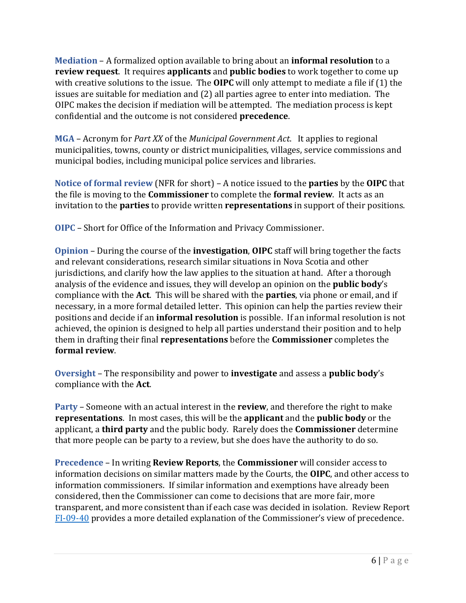**Mediation** – A formalized option available to bring about an **informal resolution** to a **review request**. It requires **applicants** and **public bodies** to work together to come up with creative solutions to the issue. The **OIPC** will only attempt to mediate a file if (1) the issues are suitable for mediation and (2) all parties agree to enter into mediation. The OIPC makes the decision if mediation will be attempted. The mediation process is kept confidential and the outcome is not considered **precedence**.

**MGA** – Acronym for *Part XX* of the *Municipal Government Act*. It applies to regional municipalities, towns, county or district municipalities, villages, service commissions and municipal bodies, including municipal police services and libraries.

**Notice of formal review** (NFR for short) – A notice issued to the **parties** by the **OIPC** that the file is moving to the **Commissioner** to complete the **formal review**. It acts as an invitation to the **parties** to provide written **representations** in support of their positions.

**OIPC** – Short for Office of the Information and Privacy Commissioner.

**Opinion** – During the course of the **investigation**, **OIPC** staff will bring together the facts and relevant considerations, research similar situations in Nova Scotia and other jurisdictions, and clarify how the law applies to the situation at hand. After a thorough analysis of the evidence and issues, they will develop an opinion on the **public body**'s compliance with the **Act**. This will be shared with the **parties**, via phone or email, and if necessary, in a more formal detailed letter. This opinion can help the parties review their positions and decide if an **informal resolution** is possible. If an informal resolution is not achieved, the opinion is designed to help all parties understand their position and to help them in drafting their final **representations** before the **Commissioner** completes the **formal review**.

**Oversight** – The responsibility and power to **investigate** and assess a **public body**'s compliance with the **Act**.

**Party** – Someone with an actual interest in the **review**, and therefore the right to make **representations**. In most cases, this will be the **applicant** and the **public body** or the applicant, a **third party** and the public body. Rarely does the **Commissioner** determine that more people can be party to a review, but she does have the authority to do so.

**Precedence** – In writing **Review Reports**, the **Commissioner** will consider access to information decisions on similar matters made by the Courts, the **OIPC**, and other access to information commissioners. If similar information and exemptions have already been considered, then the Commissioner can come to decisions that are more fair, more transparent, and more consistent than if each case was decided in isolation. Review Report [FI-09-40](https://oipc.novascotia.ca/sites/default/files/reports/FI-09-40%202010%2001%2026%20Review%20Report.pdf) provides a more detailed explanation of the Commissioner's view of precedence.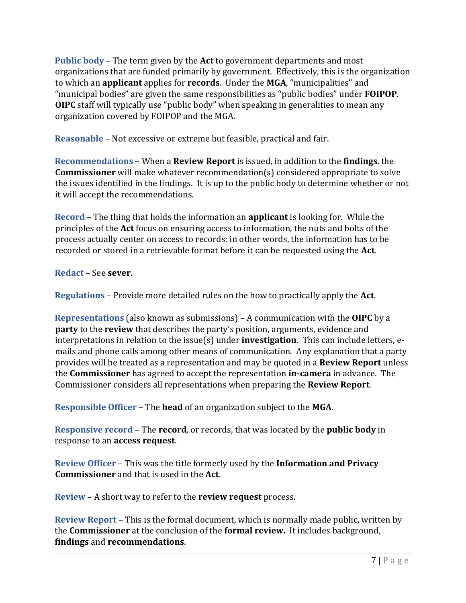**Public body** – The term given by the **Act** to government departments and most organizations that are funded primarily by government. Effectively, this is the organization to which an **applicant** applies for **records**. Under the **MGA**, "municipalities" and "municipal bodies" are given the same responsibilities as "public bodies" under **FOIPOP**. **OIPC** staff will typically use "public body" when speaking in generalities to mean any organization covered by FOIPOP and the MGA.

**Reasonable** – Not excessive or extreme but feasible, practical and fair.

**Recommendations** – When a **Review Report** is issued, in addition to the **findings**, the **Commissioner** will make whatever recommendation(s) considered appropriate to solve the issues identified in the findings. It is up to the public body to determine whether or not it will accept the recommendations.

**Record** – The thing that holds the information an **applicant** is looking for. While the principles of the **Act** focus on ensuring access to information, the nuts and bolts of the process actually center on access to records: in other words, the information has to be recorded or stored in a retrievable format before it can be requested using the **Act**.

**Redact** – See **sever**.

**Regulations** – Provide more detailed rules on the how to practically apply the **Act**.

**Representations** (also known as submissions) – A communication with the **OIPC** by a **party** to the **review** that describes the party's position, arguments, evidence and interpretations in relation to the issue(s) under **investigation**. This can include letters, emails and phone calls among other means of communication. Any explanation that a party provides will be treated as a representation and may be quoted in a **Review Report** unless the **Commissioner** has agreed to accept the representation **in-camera** in advance. The Commissioner considers all representations when preparing the **Review Report**.

**Responsible Officer** – The **head** of an organization subject to the **MGA**.

**Responsive record** – The **record**, or records, that was located by the **public body** in response to an **access request**.

**Review Officer** – This was the title formerly used by the **Information and Privacy Commissioner** and that is used in the **Act**.

**Review** – A short way to refer to the **review request** process.

**Review Report** – This is the formal document, which is normally made public, written by the **Commissioner** at the conclusion of the **formal review.** It includes background, **findings** and **recommendations**.